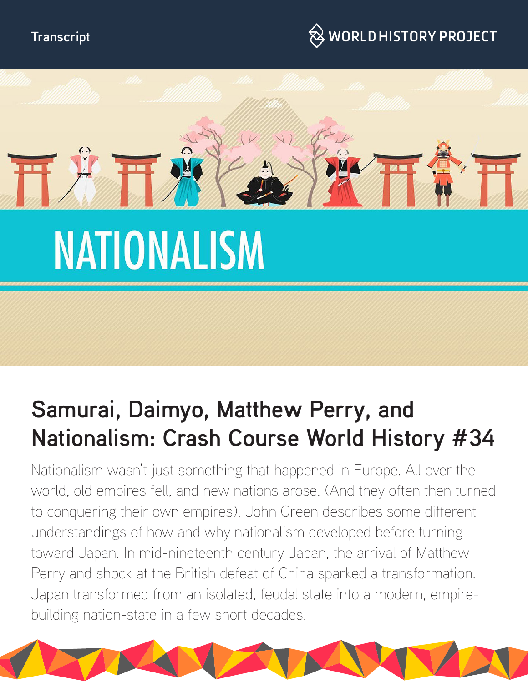



# **NATIONALISM**

# **Samurai, Daimyo, Matthew Perry, and Nationalism: Crash Course World History #34**

Nationalism wasn't just something that happened in Europe. All over the world, old empires fell, and new nations arose. (And they often then turned to conquering their own empires). John Green describes some different understandings of how and why nationalism developed before turning toward Japan. In mid-nineteenth century Japan, the arrival of Matthew Perry and shock at the British defeat of China sparked a transformation. Japan transformed from an isolated, feudal state into a modern, empirebuilding nation-state in a few short decades.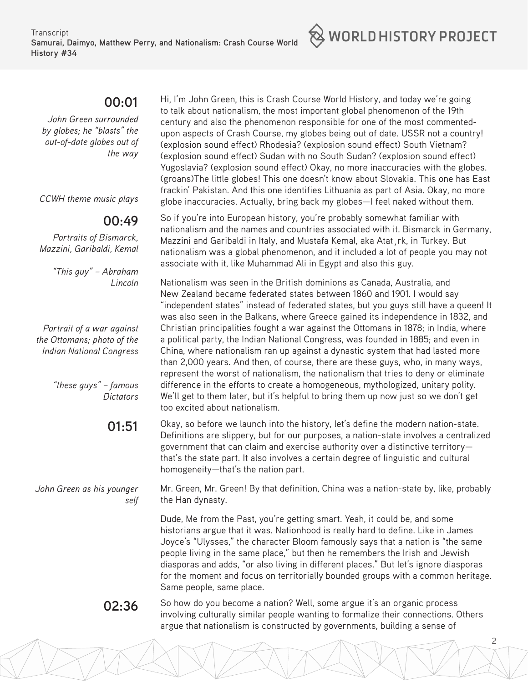

# **00:01**

*John Green surrounded by globes; he "blasts" the out-of-date globes out of the way*

*CCWH theme music plays*

# **00:49**

*Portraits of Bismarck, Mazzini, Garibaldi, Kemal*

> *"This guy" – Abraham Lincoln*

*Portrait of a war against the Ottomans; photo of the Indian National Congress*

> *"these guys" – famous Dictators*

# **01:51**

*John Green as his younger self* Hi, I'm John Green, this is Crash Course World History, and today we're going to talk about nationalism, the most important global phenomenon of the 19th century and also the phenomenon responsible for one of the most commentedupon aspects of Crash Course, my globes being out of date. USSR not a country! (explosion sound effect) Rhodesia? (explosion sound effect) South Vietnam? (explosion sound effect) Sudan with no South Sudan? (explosion sound effect) Yugoslavia? (explosion sound effect) Okay, no more inaccuracies with the globes. (groans)The little globes! This one doesn't know about Slovakia. This one has East frackin' Pakistan. And this one identifies Lithuania as part of Asia. Okay, no more globe inaccuracies. Actually, bring back my globes—I feel naked without them.

So if you're into European history, you're probably somewhat familiar with nationalism and the names and countries associated with it. Bismarck in Germany, Mazzini and Garibaldi in Italy, and Mustafa Kemal, aka Atat¸rk, in Turkey. But nationalism was a global phenomenon, and it included a lot of people you may not associate with it, like Muhammad Ali in Egypt and also this guy.

Nationalism was seen in the British dominions as Canada, Australia, and New Zealand became federated states between 1860 and 1901. I would say "independent states" instead of federated states, but you guys still have a queen! It was also seen in the Balkans, where Greece gained its independence in 1832, and Christian principalities fought a war against the Ottomans in 1878; in India, where a political party, the Indian National Congress, was founded in 1885; and even in China, where nationalism ran up against a dynastic system that had lasted more than 2,000 years. And then, of course, there are these guys, who, in many ways, represent the worst of nationalism, the nationalism that tries to deny or eliminate difference in the efforts to create a homogeneous, mythologized, unitary polity. We'll get to them later, but it's helpful to bring them up now just so we don't get too excited about nationalism.

Okay, so before we launch into the history, let's define the modern nation-state. Definitions are slippery, but for our purposes, a nation-state involves a centralized government that can claim and exercise authority over a distinctive territory that's the state part. It also involves a certain degree of linguistic and cultural homogeneity—that's the nation part.

Mr. Green, Mr. Green! By that definition, China was a nation-state by, like, probably the Han dynasty.

Dude, Me from the Past, you're getting smart. Yeah, it could be, and some historians argue that it was. Nationhood is really hard to define. Like in James Joyce's "Ulysses," the character Bloom famously says that a nation is "the same people living in the same place," but then he remembers the Irish and Jewish diasporas and adds, "or also living in different places." But let's ignore diasporas for the moment and focus on territorially bounded groups with a common heritage. Same people, same place.

2

**02:36** So how do you become a nation? Well, some argue it's an organic process involving culturally similar people wanting to formalize their connections. Others argue that nationalism is constructed by governments, building a sense of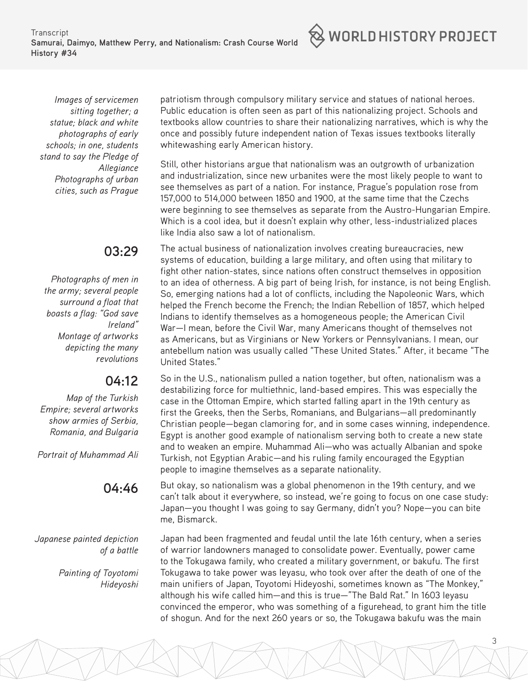**Transcript Samurai, Daimyo, Matthew Perry, and Nationalism: Crash Course World History #34**



# **03:29**

*Photographs of men in the army; several people surround a float that boasts a flag: "God save Ireland" Montage of artworks depicting the many revolutions*

# **04:12**

*Map of the Turkish Empire; several artworks show armies of Serbia, Romania, and Bulgaria*

*Portrait of Muhammad Ali*

# **04:46**

*Japanese painted depiction of a battle*

> *Painting of Toyotomi Hideyoshi*

patriotism through compulsory military service and statues of national heroes. Public education is often seen as part of this nationalizing project. Schools and textbooks allow countries to share their nationalizing narratives, which is why the once and possibly future independent nation of Texas issues textbooks literally whitewashing early American history.

 $\otimes$  world history project

Still, other historians argue that nationalism was an outgrowth of urbanization and industrialization, since new urbanites were the most likely people to want to see themselves as part of a nation. For instance, Prague's population rose from 157,000 to 514,000 between 1850 and 1900, at the same time that the Czechs were beginning to see themselves as separate from the Austro-Hungarian Empire. Which is a cool idea, but it doesn't explain why other, less-industrialized places like India also saw a lot of nationalism.

The actual business of nationalization involves creating bureaucracies, new systems of education, building a large military, and often using that military to fight other nation-states, since nations often construct themselves in opposition to an idea of otherness. A big part of being Irish, for instance, is not being English. So, emerging nations had a lot of conflicts, including the Napoleonic Wars, which helped the French become the French; the Indian Rebellion of 1857, which helped Indians to identify themselves as a homogeneous people; the American Civil War—I mean, before the Civil War, many Americans thought of themselves not as Americans, but as Virginians or New Yorkers or Pennsylvanians. I mean, our antebellum nation was usually called "These United States." After, it became "The United States."

So in the U.S., nationalism pulled a nation together, but often, nationalism was a destabilizing force for multiethnic, land-based empires. This was especially the case in the Ottoman Empire, which started falling apart in the 19th century as first the Greeks, then the Serbs, Romanians, and Bulgarians—all predominantly Christian people—began clamoring for, and in some cases winning, independence. Egypt is another good example of nationalism serving both to create a new state and to weaken an empire. Muhammad Ali—who was actually Albanian and spoke Turkish, not Egyptian Arabic—and his ruling family encouraged the Egyptian people to imagine themselves as a separate nationality.

But okay, so nationalism was a global phenomenon in the 19th century, and we can't talk about it everywhere, so instead, we're going to focus on one case study: Japan—you thought I was going to say Germany, didn't you? Nope—you can bite me, Bismarck.

Japan had been fragmented and feudal until the late 16th century, when a series of warrior landowners managed to consolidate power. Eventually, power came to the Tokugawa family, who created a military government, or bakufu. The first Tokugawa to take power was Ieyasu, who took over after the death of one of the main unifiers of Japan, Toyotomi Hideyoshi, sometimes known as "The Monkey," although his wife called him—and this is true—"The Bald Rat." In 1603 Ieyasu convinced the emperor, who was something of a figurehead, to grant him the title of shogun. And for the next 260 years or so, the Tokugawa bakufu was the main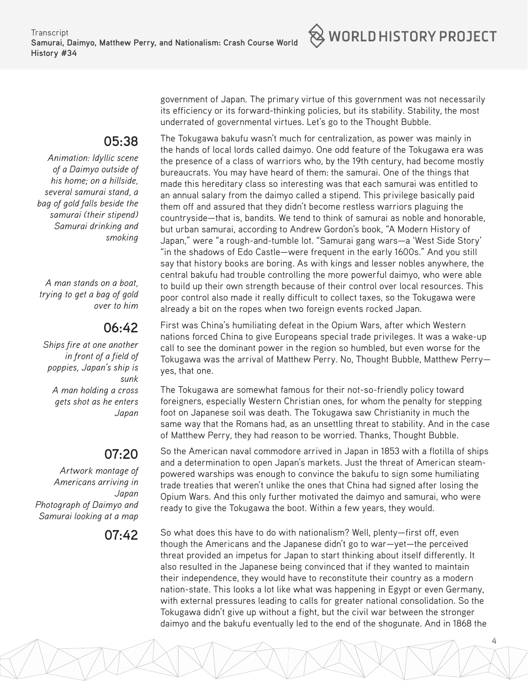

#### **05:38**

*Animation: Idyllic scene of a Daimyo outside of his home; on a hillside, several samurai stand, a bag of gold falls beside the samurai (their stipend) Samurai drinking and smoking* 

*A man stands on a boat, trying to get a bag of gold over to him*

# **06:42**

*Ships fire at one another in front of a field of poppies, Japan's ship is sunk A man holding a cross gets shot as he enters Japan*

# **07:20**

*Artwork montage of Americans arriving in Japan Photograph of Daimyo and Samurai looking at a map*

government of Japan. The primary virtue of this government was not necessarily its efficiency or its forward-thinking policies, but its stability. Stability, the most underrated of governmental virtues. Let's go to the Thought Bubble.

The Tokugawa bakufu wasn't much for centralization, as power was mainly in the hands of local lords called daimyo. One odd feature of the Tokugawa era was the presence of a class of warriors who, by the 19th century, had become mostly bureaucrats. You may have heard of them: the samurai. One of the things that made this hereditary class so interesting was that each samurai was entitled to an annual salary from the daimyo called a stipend. This privilege basically paid them off and assured that they didn't become restless warriors plaguing the countryside—that is, bandits. We tend to think of samurai as noble and honorable, but urban samurai, according to Andrew Gordon's book, "A Modern History of Japan," were "a rough-and-tumble lot. "Samurai gang wars—a 'West Side Story' "in the shadows of Edo Castle—were frequent in the early 1600s." And you still say that history books are boring. As with kings and lesser nobles anywhere, the central bakufu had trouble controlling the more powerful daimyo, who were able to build up their own strength because of their control over local resources. This poor control also made it really difficult to collect taxes, so the Tokugawa were already a bit on the ropes when two foreign events rocked Japan.

First was China's humiliating defeat in the Opium Wars, after which Western nations forced China to give Europeans special trade privileges. It was a wake-up call to see the dominant power in the region so humbled, but even worse for the Tokugawa was the arrival of Matthew Perry. No, Thought Bubble, Matthew Perry yes, that one.

The Tokugawa are somewhat famous for their not-so-friendly policy toward foreigners, especially Western Christian ones, for whom the penalty for stepping foot on Japanese soil was death. The Tokugawa saw Christianity in much the same way that the Romans had, as an unsettling threat to stability. And in the case of Matthew Perry, they had reason to be worried. Thanks, Thought Bubble.

So the American naval commodore arrived in Japan in 1853 with a flotilla of ships and a determination to open Japan's markets. Just the threat of American steampowered warships was enough to convince the bakufu to sign some humiliating trade treaties that weren't unlike the ones that China had signed after losing the Opium Wars. And this only further motivated the daimyo and samurai, who were ready to give the Tokugawa the boot. Within a few years, they would.

**07:42** So what does this have to do with nationalism? Well, plenty—first off, even though the Americans and the Japanese didn't go to war—yet—the perceived threat provided an impetus for Japan to start thinking about itself differently. It also resulted in the Japanese being convinced that if they wanted to maintain their independence, they would have to reconstitute their country as a modern nation-state. This looks a lot like what was happening in Egypt or even Germany, with external pressures leading to calls for greater national consolidation. So the Tokugawa didn't give up without a fight, but the civil war between the stronger daimyo and the bakufu eventually led to the end of the shogunate. And in 1868 the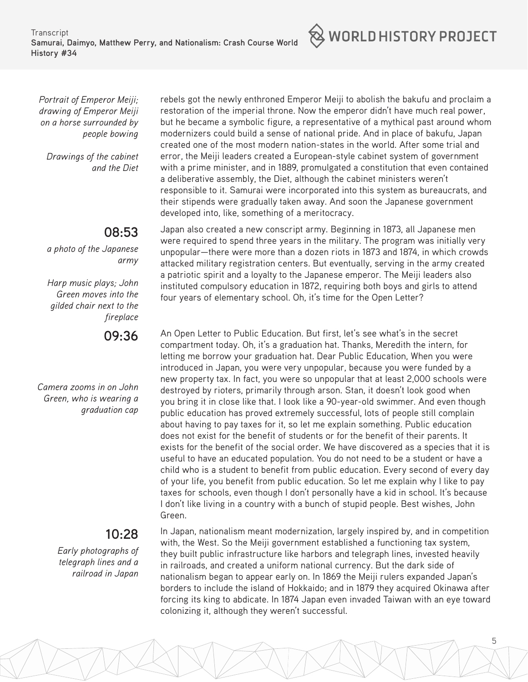**Transcript Samurai, Daimyo, Matthew Perry, and Nationalism: Crash Course World History #34**



*Drawings of the cabinet and the Diet*

# **08:53**

*a photo of the Japanese army*

*Harp music plays; John Green moves into the gilded chair next to the fireplace*

#### **09:36**

*Camera zooms in on John Green, who is wearing a graduation cap*

# **10:28**

*Early photographs of telegraph lines and a railroad in Japan*

rebels got the newly enthroned Emperor Meiji to abolish the bakufu and proclaim a restoration of the imperial throne. Now the emperor didn't have much real power, but he became a symbolic figure, a representative of a mythical past around whom modernizers could build a sense of national pride. And in place of bakufu, Japan created one of the most modern nation-states in the world. After some trial and error, the Meiji leaders created a European-style cabinet system of government with a prime minister, and in 1889, promulgated a constitution that even contained a deliberative assembly, the Diet, although the cabinet ministers weren't responsible to it. Samurai were incorporated into this system as bureaucrats, and their stipends were gradually taken away. And soon the Japanese government developed into, like, something of a meritocracy.

Japan also created a new conscript army. Beginning in 1873, all Japanese men were required to spend three years in the military. The program was initially very unpopular—there were more than a dozen riots in 1873 and 1874, in which crowds attacked military registration centers. But eventually, serving in the army created a patriotic spirit and a loyalty to the Japanese emperor. The Meiji leaders also instituted compulsory education in 1872, requiring both boys and girls to attend four years of elementary school. Oh, it's time for the Open Letter?

An Open Letter to Public Education. But first, let's see what's in the secret compartment today. Oh, it's a graduation hat. Thanks, Meredith the intern, for letting me borrow your graduation hat. Dear Public Education, When you were introduced in Japan, you were very unpopular, because you were funded by a new property tax. In fact, you were so unpopular that at least 2,000 schools were destroyed by rioters, primarily through arson. Stan, it doesn't look good when you bring it in close like that. I look like a 90-year-old swimmer. And even though public education has proved extremely successful, lots of people still complain about having to pay taxes for it, so let me explain something. Public education does not exist for the benefit of students or for the benefit of their parents. It exists for the benefit of the social order. We have discovered as a species that it is useful to have an educated population. You do not need to be a student or have a child who is a student to benefit from public education. Every second of every day of your life, you benefit from public education. So let me explain why I like to pay taxes for schools, even though I don't personally have a kid in school. It's because I don't like living in a country with a bunch of stupid people. Best wishes, John Green.

In Japan, nationalism meant modernization, largely inspired by, and in competition with, the West. So the Meiji government established a functioning tax system, they built public infrastructure like harbors and telegraph lines, invested heavily in railroads, and created a uniform national currency. But the dark side of nationalism began to appear early on. In 1869 the Meiji rulers expanded Japan's borders to include the island of Hokkaido; and in 1879 they acquired Okinawa after forcing its king to abdicate. In 1874 Japan even invaded Taiwan with an eye toward colonizing it, although they weren't successful.

5